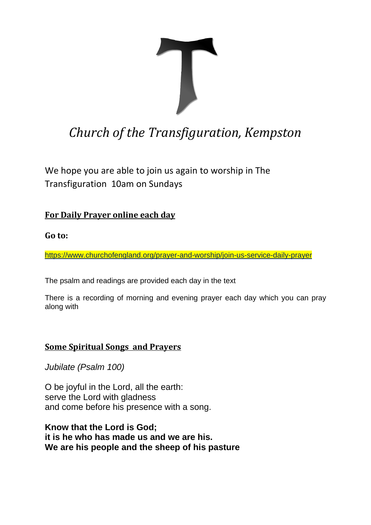

# *Church of the Transfiguration, Kempston*

We hope you are able to join us again to worship in The Transfiguration 10am on Sundays

## **For Daily Prayer online each day**

#### **Go to:**

<https://www.churchofengland.org/prayer-and-worship/join-us-service-daily-prayer>

The psalm and readings are provided each day in the text

There is a recording of morning and evening prayer each day which you can pray along with

## **Some Spiritual Songs and Prayers**

*Jubilate (Psalm 100)*

O be joyful in the Lord, all the earth: serve the Lord with gladness and come before his presence with a song.

**Know that the Lord is God; it is he who has made us and we are his. We are his people and the sheep of his pasture**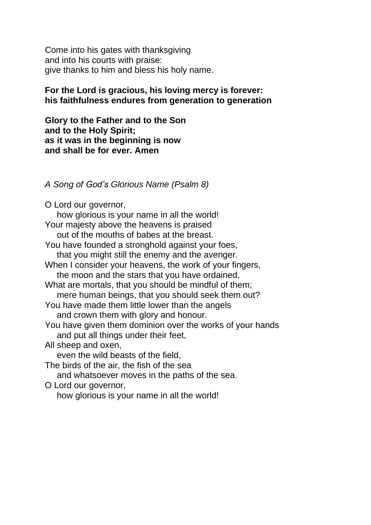Come into his gates with thanksgiving and into his courts with praise: give thanks to him and bless his holy name.

#### **For the Lord is gracious, his loving mercy is forever: his faithfulness endures from generation to generation**

**Glory to the Father and to the Son and to the Holy Spirit; as it was in the beginning is now and shall be for ever. Amen**

*A Song of God's Glorious Name (Psalm 8)*

O Lord our governor, how glorious is your name in all the world! Your majesty above the heavens is praised out of the mouths of babes at the breast. You have founded a stronghold against your foes, that you might still the enemy and the avenger. When I consider your heavens, the work of your fingers, the moon and the stars that you have ordained, What are mortals, that you should be mindful of them; mere human beings, that you should seek them out? You have made them little lower than the angels and crown them with glory and honour. You have given them dominion over the works of your hands and put all things under their feet, All sheep and oxen, even the wild beasts of the field, The birds of the air, the fish of the sea and whatsoever moves in the paths of the sea. O Lord our governor, how glorious is your name in all the world!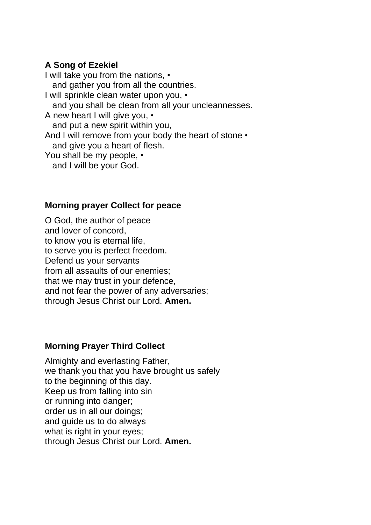## **A Song of Ezekiel**

I will take you from the nations, • and gather you from all the countries. I will sprinkle clean water upon you, • and you shall be clean from all your uncleannesses. A new heart I will give you, • and put a new spirit within you, And I will remove from your body the heart of stone  $\cdot$ and give you a heart of flesh. You shall be my people,  $\cdot$ and I will be your God.

#### **Morning prayer Collect for peace**

O God, the author of peace and lover of concord, to know you is eternal life, to serve you is perfect freedom. Defend us your servants from all assaults of our enemies; that we may trust in your defence, and not fear the power of any adversaries; through Jesus Christ our Lord. **Amen.**

#### **Morning Prayer Third Collect**

Almighty and everlasting Father, we thank you that you have brought us safely to the beginning of this day. Keep us from falling into sin or running into danger; order us in all our doings; and guide us to do always what is right in your eyes; through Jesus Christ our Lord. **Amen.**